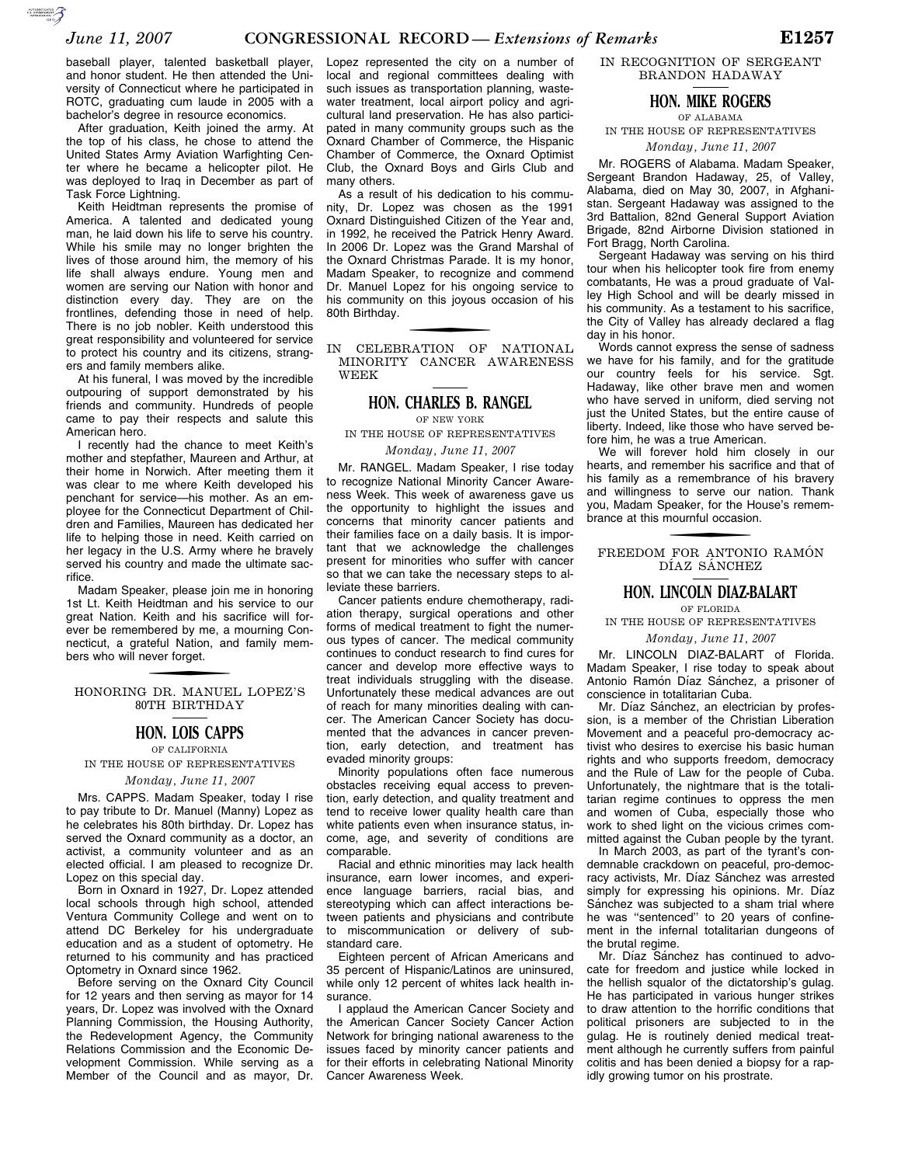baseball player, talented basketball player, and honor student. He then attended the University of Connecticut where he participated in ROTC, graduating cum laude in 2005 with a bachelor's degree in resource economics.

After graduation, Keith joined the army. At the top of his class, he chose to attend the United States Army Aviation Warfighting Center where he became a helicopter pilot. He was deployed to Iraq in December as part of Task Force Lightning.

Keith Heidtman represents the promise of America. A talented and dedicated young man, he laid down his life to serve his country. While his smile may no longer brighten the lives of those around him, the memory of his life shall always endure. Young men and women are serving our Nation with honor and distinction every day. They are on the frontlines, defending those in need of help. There is no job nobler. Keith understood this great responsibility and volunteered for service to protect his country and its citizens, strangers and family members alike.

At his funeral, I was moved by the incredible outpouring of support demonstrated by his friends and community. Hundreds of people came to pay their respects and salute this American hero.

I recently had the chance to meet Keith's mother and stepfather, Maureen and Arthur, at their home in Norwich. After meeting them it was clear to me where Keith developed his penchant for service—his mother. As an employee for the Connecticut Department of Children and Families, Maureen has dedicated her life to helping those in need. Keith carried on her legacy in the U.S. Army where he bravely served his country and made the ultimate sacrifice.

Madam Speaker, please join me in honoring 1st Lt. Keith Heidtman and his service to our great Nation. Keith and his sacrifice will forever be remembered by me, a mourning Connecticut, a grateful Nation, and family members who will never forget.

HONORING DR. MANUEL LOPEZ'S 80TH BIRTHDAY

## **HON. LOIS CAPPS**

OF CALIFORNIA IN THE HOUSE OF REPRESENTATIVES

*Monday, June 11, 2007* 

Mrs. CAPPS. Madam Speaker, today I rise to pay tribute to Dr. Manuel (Manny) Lopez as he celebrates his 80th birthday. Dr. Lopez has served the Oxnard community as a doctor, an activist, a community volunteer and as an elected official. I am pleased to recognize Dr. Lopez on this special day.

Born in Oxnard in 1927, Dr. Lopez attended local schools through high school, attended Ventura Community College and went on to attend DC Berkeley for his undergraduate education and as a student of optometry. He returned to his community and has practiced Optometry in Oxnard since 1962.

Before serving on the Oxnard City Council for 12 years and then serving as mayor for 14 years, Dr. Lopez was involved with the Oxnard Planning Commission, the Housing Authority, the Redevelopment Agency, the Community Relations Commission and the Economic Development Commission. While serving as a Member of the Council and as mayor, Dr.

Lopez represented the city on a number of local and regional committees dealing with such issues as transportation planning, wastewater treatment, local airport policy and agricultural land preservation. He has also participated in many community groups such as the Oxnard Chamber of Commerce, the Hispanic Chamber of Commerce, the Oxnard Optimist Club, the Oxnard Boys and Girls Club and many others.

As a result of his dedication to his community, Dr. Lopez was chosen as the 1991 Oxnard Distinguished Citizen of the Year and, in 1992, he received the Patrick Henry Award. In 2006 Dr. Lopez was the Grand Marshal of the Oxnard Christmas Parade. It is my honor, Madam Speaker, to recognize and commend Dr. Manuel Lopez for his ongoing service to his community on this joyous occasion of his 80th Birthday.

IN CELEBRATION OF NATIONAL MINORITY CANCER AWARENESS WEEK

## **HON. CHARLES B. RANGEL**

OF NEW YORK

IN THE HOUSE OF REPRESENTATIVES *Monday, June 11, 2007* 

Mr. RANGEL. Madam Speaker, I rise today to recognize National Minority Cancer Awareness Week. This week of awareness gave us the opportunity to highlight the issues and concerns that minority cancer patients and their families face on a daily basis. It is important that we acknowledge the challenges present for minorities who suffer with cancer so that we can take the necessary steps to alleviate these barriers.

Cancer patients endure chemotherapy, radiation therapy, surgical operations and other forms of medical treatment to fight the numerous types of cancer. The medical community continues to conduct research to find cures for cancer and develop more effective ways to treat individuals struggling with the disease. Unfortunately these medical advances are out of reach for many minorities dealing with cancer. The American Cancer Society has documented that the advances in cancer prevention, early detection, and treatment has evaded minority groups:

Minority populations often face numerous obstacles receiving equal access to prevention, early detection, and quality treatment and tend to receive lower quality health care than white patients even when insurance status, income, age, and severity of conditions are comparable.

Racial and ethnic minorities may lack health insurance, earn lower incomes, and experience language barriers, racial bias, and stereotyping which can affect interactions between patients and physicians and contribute to miscommunication or delivery of substandard care.

Eighteen percent of African Americans and 35 percent of Hispanic/Latinos are uninsured, while only 12 percent of whites lack health insurance.

I applaud the American Cancer Society and the American Cancer Society Cancer Action Network for bringing national awareness to the issues faced by minority cancer patients and for their efforts in celebrating National Minority Cancer Awareness Week.

IN RECOGNITION OF SERGEANT BRANDON HADAWAY

## **HON. MIKE ROGERS**

OF ALABAMA IN THE HOUSE OF REPRESENTATIVES

*Monday, June 11, 2007* 

Mr. ROGERS of Alabama. Madam Speaker, Sergeant Brandon Hadaway, 25, of Valley, Alabama, died on May 30, 2007, in Afghanistan. Sergeant Hadaway was assigned to the 3rd Battalion, 82nd General Support Aviation Brigade, 82nd Airborne Division stationed in Fort Bragg, North Carolina.

Sergeant Hadaway was serving on his third tour when his helicopter took fire from enemy combatants, He was a proud graduate of Valley High School and will be dearly missed in his community. As a testament to his sacrifice, the City of Valley has already declared a flag day in his honor.

Words cannot express the sense of sadness we have for his family, and for the gratitude our country feels for his service. Sqt. Hadaway, like other brave men and women who have served in uniform, died serving not just the United States, but the entire cause of liberty. Indeed, like those who have served before him, he was a true American.

We will forever hold him closely in our hearts, and remember his sacrifice and that of his family as a remembrance of his bravery and willingness to serve our nation. Thank you, Madam Speaker, for the House's remembrance at this mournful occasion.

FREEDOM FOR ANTONIO RAMÓN DÍAZ SÁNCHEZ

#### **HON. LINCOLN DIAZ-BALART** OF FLORIDA

IN THE HOUSE OF REPRESENTATIVES

#### *Monday, June 11, 2007*

Mr. LINCOLN DIAZ-BALART of Florida. Madam Speaker, I rise today to speak about Antonio Ramón Díaz Sánchez, a prisoner of conscience in totalitarian Cuba.

Mr. Díaz Sánchez, an electrician by profession, is a member of the Christian Liberation Movement and a peaceful pro-democracy activist who desires to exercise his basic human rights and who supports freedom, democracy and the Rule of Law for the people of Cuba. Unfortunately, the nightmare that is the totalitarian regime continues to oppress the men and women of Cuba, especially those who work to shed light on the vicious crimes committed against the Cuban people by the tyrant.

In March 2003, as part of the tyrant's condemnable crackdown on peaceful, pro-democracy activists, Mr. Díaz Sánchez was arrested simply for expressing his opinions. Mr. Díaz Sánchez was subjected to a sham trial where he was ''sentenced'' to 20 years of confinement in the infernal totalitarian dungeons of the brutal regime.

Mr. Díaz Sánchez has continued to advocate for freedom and justice while locked in the hellish squalor of the dictatorship's gulag. He has participated in various hunger strikes to draw attention to the horrific conditions that political prisoners are subjected to in the gulag. He is routinely denied medical treatment although he currently suffers from painful colitis and has been denied a biopsy for a rapidly growing tumor on his prostrate.